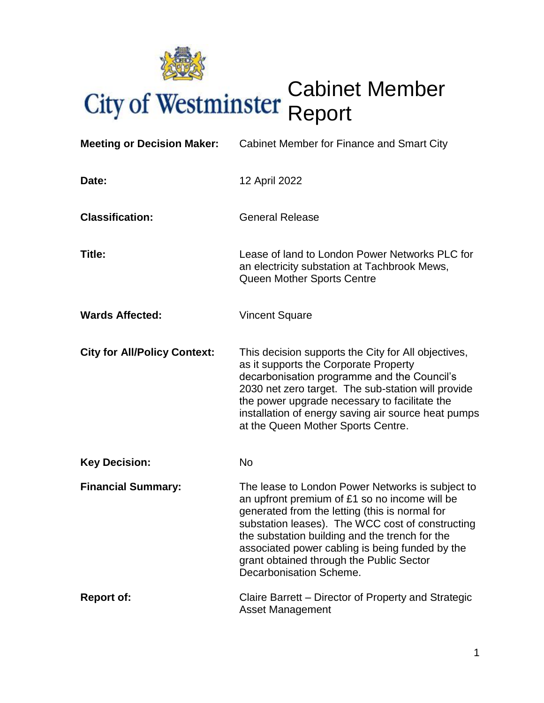

# Cabinet Member Report

| <b>Meeting or Decision Maker:</b>   | Cabinet Member for Finance and Smart City                                                                                                                                                                                                                                                                                                                                           |  |  |  |
|-------------------------------------|-------------------------------------------------------------------------------------------------------------------------------------------------------------------------------------------------------------------------------------------------------------------------------------------------------------------------------------------------------------------------------------|--|--|--|
| Date:                               | 12 April 2022                                                                                                                                                                                                                                                                                                                                                                       |  |  |  |
| <b>Classification:</b>              | <b>General Release</b>                                                                                                                                                                                                                                                                                                                                                              |  |  |  |
| Title:                              | Lease of land to London Power Networks PLC for<br>an electricity substation at Tachbrook Mews,<br>Queen Mother Sports Centre                                                                                                                                                                                                                                                        |  |  |  |
| <b>Wards Affected:</b>              | <b>Vincent Square</b>                                                                                                                                                                                                                                                                                                                                                               |  |  |  |
| <b>City for All/Policy Context:</b> | This decision supports the City for All objectives,<br>as it supports the Corporate Property<br>decarbonisation programme and the Council's<br>2030 net zero target. The sub-station will provide<br>the power upgrade necessary to facilitate the<br>installation of energy saving air source heat pumps<br>at the Queen Mother Sports Centre.                                     |  |  |  |
| <b>Key Decision:</b>                | <b>No</b>                                                                                                                                                                                                                                                                                                                                                                           |  |  |  |
| <b>Financial Summary:</b>           | The lease to London Power Networks is subject to<br>an upfront premium of £1 so no income will be<br>generated from the letting (this is normal for<br>substation leases). The WCC cost of constructing<br>the substation building and the trench for the<br>associated power cabling is being funded by the<br>grant obtained through the Public Sector<br>Decarbonisation Scheme. |  |  |  |
| <b>Report of:</b>                   | Claire Barrett – Director of Property and Strategic<br><b>Asset Management</b>                                                                                                                                                                                                                                                                                                      |  |  |  |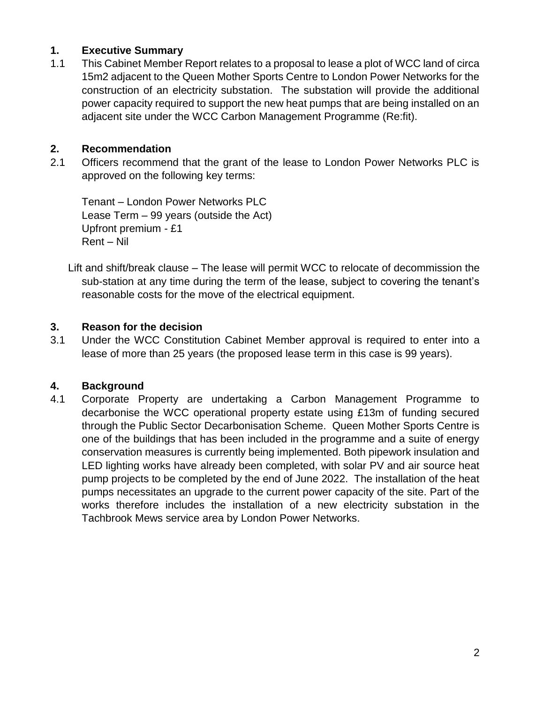# **1. Executive Summary**

1.1 This Cabinet Member Report relates to a proposal to lease a plot of WCC land of circa 15m2 adjacent to the Queen Mother Sports Centre to London Power Networks for the construction of an electricity substation. The substation will provide the additional power capacity required to support the new heat pumps that are being installed on an adjacent site under the WCC Carbon Management Programme (Re:fit).

#### **2. Recommendation**

2.1 Officers recommend that the grant of the lease to London Power Networks PLC is approved on the following key terms:

Tenant – London Power Networks PLC Lease Term – 99 years (outside the Act) Upfront premium - £1 Rent – Nil

Lift and shift/break clause – The lease will permit WCC to relocate of decommission the sub-station at any time during the term of the lease, subject to covering the tenant's reasonable costs for the move of the electrical equipment.

#### **3. Reason for the decision**

3.1 Under the WCC Constitution Cabinet Member approval is required to enter into a lease of more than 25 years (the proposed lease term in this case is 99 years).

# **4. Background**

4.1 Corporate Property are undertaking a Carbon Management Programme to decarbonise the WCC operational property estate using £13m of funding secured through the Public Sector Decarbonisation Scheme. Queen Mother Sports Centre is one of the buildings that has been included in the programme and a suite of energy conservation measures is currently being implemented. Both pipework insulation and LED lighting works have already been completed, with solar PV and air source heat pump projects to be completed by the end of June 2022. The installation of the heat pumps necessitates an upgrade to the current power capacity of the site. Part of the works therefore includes the installation of a new electricity substation in the Tachbrook Mews service area by London Power Networks.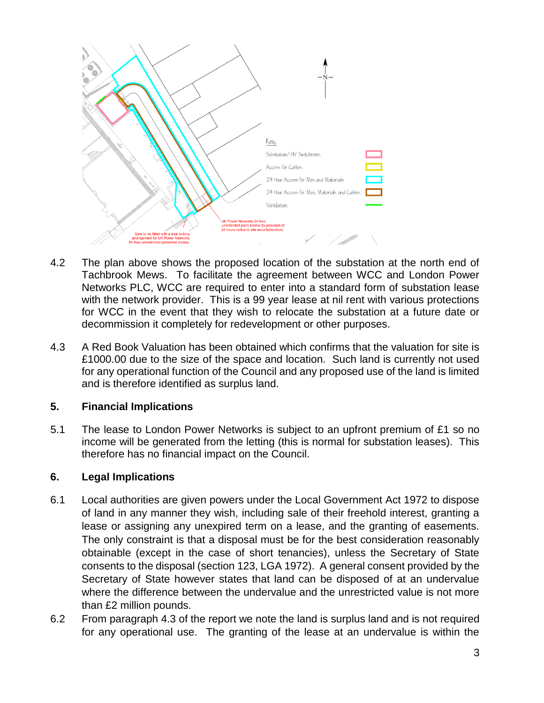

- 4.2 The plan above shows the proposed location of the substation at the north end of Tachbrook Mews. To facilitate the agreement between WCC and London Power Networks PLC, WCC are required to enter into a standard form of substation lease with the network provider. This is a 99 year lease at nil rent with various protections for WCC in the event that they wish to relocate the substation at a future date or decommission it completely for redevelopment or other purposes.
- 4.3 A Red Book Valuation has been obtained which confirms that the valuation for site is £1000.00 due to the size of the space and location. Such land is currently not used for any operational function of the Council and any proposed use of the land is limited and is therefore identified as surplus land.

# **5. Financial Implications**

5.1 The lease to London Power Networks is subject to an upfront premium of £1 so no income will be generated from the letting (this is normal for substation leases). This therefore has no financial impact on the Council.

# **6. Legal Implications**

- 6.1 Local authorities are given powers under the Local Government Act 1972 to dispose of land in any manner they wish, including sale of their freehold interest, granting a lease or assigning any unexpired term on a lease, and the granting of easements. The only constraint is that a disposal must be for the best consideration reasonably obtainable (except in the case of short tenancies), unless the Secretary of State consents to the disposal (section 123, LGA 1972). A general consent provided by the Secretary of State however states that land can be disposed of at an undervalue where the difference between the undervalue and the unrestricted value is not more than £2 million pounds.
- 6.2 From paragraph 4.3 of the report we note the land is surplus land and is not required for any operational use. The granting of the lease at an undervalue is within the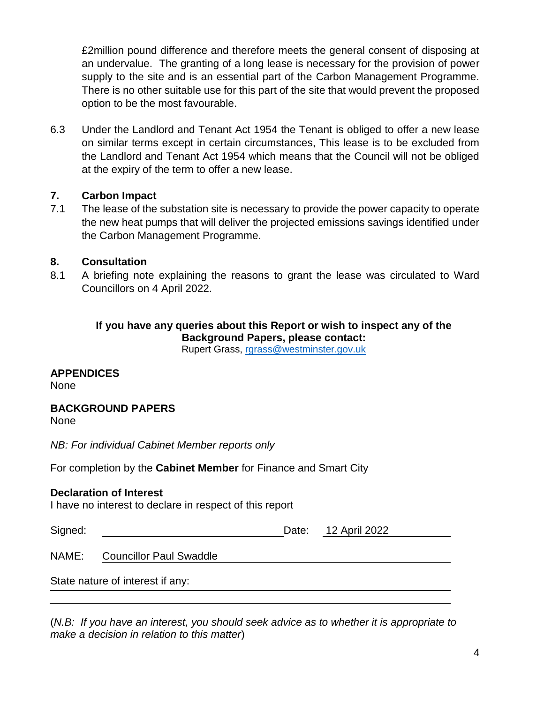£2million pound difference and therefore meets the general consent of disposing at an undervalue. The granting of a long lease is necessary for the provision of power supply to the site and is an essential part of the Carbon Management Programme. There is no other suitable use for this part of the site that would prevent the proposed option to be the most favourable.

6.3 Under the Landlord and Tenant Act 1954 the Tenant is obliged to offer a new lease on similar terms except in certain circumstances, This lease is to be excluded from the Landlord and Tenant Act 1954 which means that the Council will not be obliged at the expiry of the term to offer a new lease.

# **7. Carbon Impact**

7.1 The lease of the substation site is necessary to provide the power capacity to operate the new heat pumps that will deliver the projected emissions savings identified under the Carbon Management Programme.

#### **8. Consultation**

8.1 A briefing note explaining the reasons to grant the lease was circulated to Ward Councillors on 4 April 2022.

# **If you have any queries about this Report or wish to inspect any of the Background Papers, please contact:**

Rupert Grass, [rgrass@westminster.gov.uk](mailto:rgrass@westminster.gov.uk)

# **APPENDICES**

None

#### **BACKGROUND PAPERS**

None

*NB: For individual Cabinet Member reports only*

For completion by the **Cabinet Member** for Finance and Smart City

#### **Declaration of Interest**

I have no interest to declare in respect of this report

| Signed:  |  | Date: 12 April 2022 |  |
|----------|--|---------------------|--|
|          |  |                     |  |
| $\cdots$ |  |                     |  |

NAME: Councillor Paul Swaddle

State nature of interest if any:

(*N.B: If you have an interest, you should seek advice as to whether it is appropriate to make a decision in relation to this matter*)